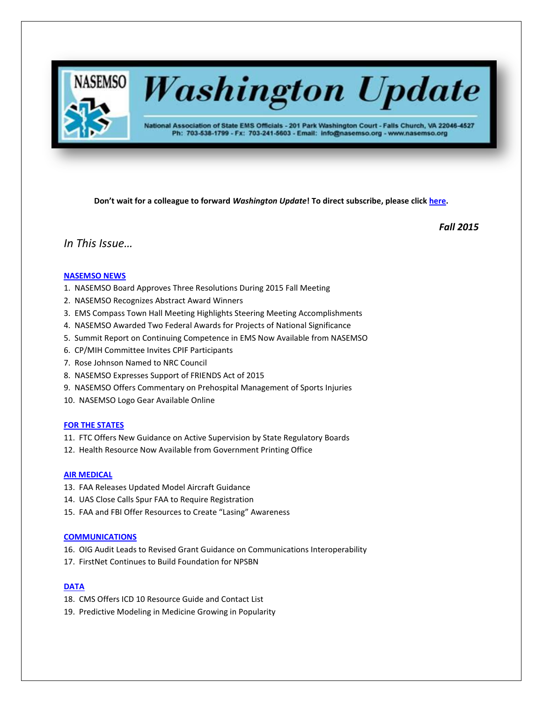

# **Washington Update**

National Association of State EMS Officials - 201 Park Washington Court - Falls Church, VA 22046-4527 Ph: 703-538-1799 - Fx: 703-241-5603 - Email: info@nasemso.org - www.nasemso.org

**Don't wait for a colleague to forward** *Washington Update***! To direct subscribe, please click [here.](http://lists.nasemso.org/read/all_forums/subscribe?name=wu%20)**

*Fall 2015*

## *In This Issue…*

## **[NASEMSO NEWS](#page-2-0)**

- 1. NASEMSO Board Approves Three Resolutions During 2015 Fall Meeting
- 2. NASEMSO Recognizes Abstract Award Winners
- 3. EMS Compass Town Hall Meeting Highlights Steering Meeting Accomplishments
- 4. NASEMSO Awarded Two Federal Awards for Projects of National Significance
- 5. Summit Report on Continuing Competence in EMS Now Available from NASEMSO
- 6. CP/MIH Committee Invites CPIF Participants
- 7. Rose Johnson Named to NRC Council
- 8. NASEMSO Expresses Support of FRIENDS Act of 2015
- 9. NASEMSO Offers Commentary on Prehospital Management of Sports Injuries
- 10. NASEMSO Logo Gear Available Online

## **[FOR THE STATES](#page-4-0)**

- 11. FTC Offers New Guidance on Active Supervision by State Regulatory Boards
- 12. Health Resource Now Available from Government Printing Office

## **[AIR MEDICAL](#page-5-0)**

- 13. FAA Releases Updated Model Aircraft Guidance
- 14. UAS Close Calls Spur FAA to Require Registration
- 15. FAA and FBI Offer Resources to Create "Lasing" Awareness

## **[COMMUNICATIONS](#page-6-0)**

- 16. OIG Audit Leads to Revised Grant Guidance on Communications Interoperability
- 17. FirstNet Continues to Build Foundation for NPSBN

## **[DATA](#page-6-1)**

- 18. CMS Offers ICD 10 Resource Guide and Contact List
- 19. Predictive Modeling in Medicine Growing in Popularity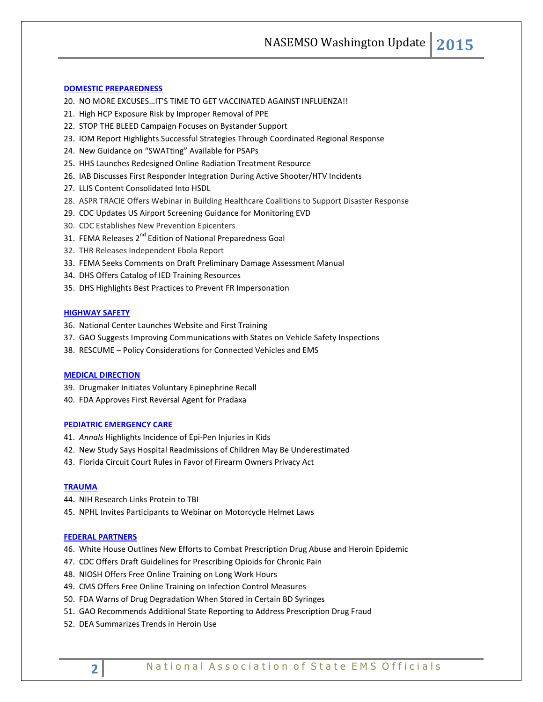NASEMSO Washington Update **2015**

## **[DOMESTIC PREPAREDNESS](#page-7-0)**

- 20. NO MORE EXCUSES…IT'S TIME TO GET VACCINATED AGAINST INFLUENZA!!
- 21. High HCP Exposure Risk by Improper Removal of PPE
- 22. STOP THE BLEED Campaign Focuses on Bystander Support
- 23. IOM Report Highlights Successful Strategies Through Coordinated Regional Response
- 24. New Guidance on "SWATting" Available for PSAPs
- 25. HHS Launches Redesigned Online Radiation Treatment Resource
- 26. IAB Discusses First Responder Integration During Active Shooter/HTV Incidents
- 27. LLIS Content Consolidated Into HSDL
- 28. ASPR TRACIE Offers Webinar in Building Healthcare Coalitions to Support Disaster Response
- 29. CDC Updates US Airport Screening Guidance for Monitoring EVD
- 30. CDC Establishes New Prevention Epicenters
- 31. FEMA Releases 2<sup>nd</sup> Edition of National Preparedness Goal
- 32. THR Releases Independent Ebola Report
- 33. FEMA Seeks Comments on Draft Preliminary Damage Assessment Manual
- 34. DHS Offers Catalog of IED Training Resources
- 35. DHS Highlights Best Practices to Prevent FR Impersonation

## **[HIGHWAY SAFETY](#page-10-0)**

- 36. National Center Launches Website and First Training
- 37. GAO Suggests Improving Communications with States on Vehicle Safety Inspections
- 38. RESCUME Policy Considerations for Connected Vehicles and EMS

## **[MEDICAL DIRECTION](#page-12-0)**

- 39. Drugmaker Initiates Voluntary Epinephrine Recall
- 40. FDA Approves First Reversal Agent for Pradaxa

#### **[PEDIATRIC EMERGENCY CARE](#page-12-1)**

- 41. *Annals* Highlights Incidence of Epi-Pen Injuries in Kids
- 42. New Study Says Hospital Readmissions of Children May Be Underestimated
- 43. Florida Circuit Court Rules in Favor of Firearm Owners Privacy Act

## **[TRAUMA](#page-13-0)**

- 44. NIH Research Links Protein to TBI
- 45. NPHL Invites Participants to Webinar on Motorcycle Helmet Laws

#### **[FEDERAL PARTNERS](#page-13-1)**

- 46. White House Outlines New Efforts to Combat Prescription Drug Abuse and Heroin Epidemic
- 47. CDC Offers Draft Guidelines for Prescribing Opioids for Chronic Pain
- 48. NIOSH Offers Free Online Training on Long Work Hours
- 49. CMS Offers Free Online Training on Infection Control Measures
- 50. FDA Warns of Drug Degradation When Stored in Certain BD Syringes
- 51. GAO Recommends Additional State Reporting to Address Prescription Drug Fraud
- 52. DEA Summarizes Trends in Heroin Use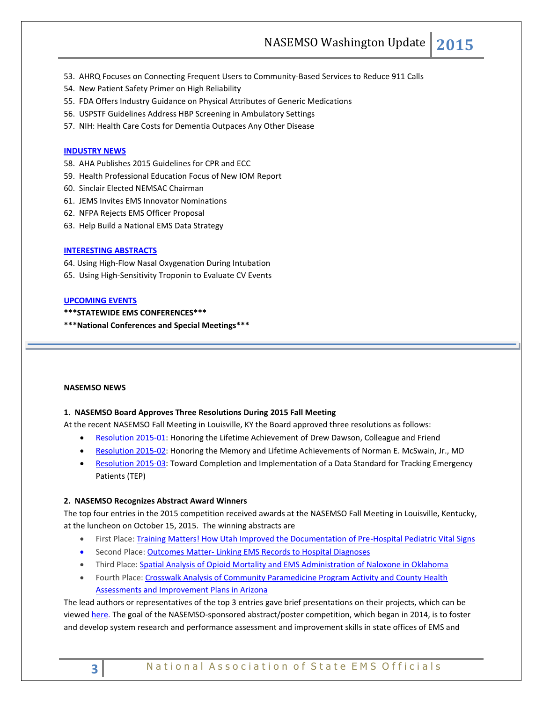- 53. AHRQ Focuses on Connecting Frequent Users to Community-Based Services to Reduce 911 Calls
- 54. New Patient Safety Primer on High Reliability
- 55. FDA Offers Industry Guidance on Physical Attributes of Generic Medications
- 56. USPSTF Guidelines Address HBP Screening in Ambulatory Settings
- 57. NIH: Health Care Costs for Dementia Outpaces Any Other Disease

#### **[INDUSTRY NEWS](#page-17-0)**

- 58. AHA Publishes 2015 Guidelines for CPR and ECC
- 59. Health Professional Education Focus of New IOM Report
- 60. Sinclair Elected NEMSAC Chairman
- 61. JEMS Invites EMS Innovator Nominations
- 62. NFPA Rejects EMS Officer Proposal
- 63. Help Build a National EMS Data Strategy

## **[INTERESTING ABSTRACTS](#page-18-0)**

64. Using High-Flow Nasal Oxygenation During Intubation

65. Using High-Sensitivity Troponin to Evaluate CV Events

#### **[UPCOMING EVENTS](#page-18-0)**

**\*\*\*STATEWIDE EMS CONFERENCES\*\*\***

<span id="page-2-0"></span>**\*\*\*National Conferences and Special Meetings\*\*\***

#### **NASEMSO NEWS**

## **1. NASEMSO Board Approves Three Resolutions During 2015 Fall Meeting**

At the recent NASEMSO Fall Meeting in Louisville, KY the Board approved three resolutions as follows:

- **[Resolution 2015-01:](https://www.nasemso.org/Advocacy/PositionsResolutions/documents/NASEMSO-Resolution-2015-01.pdf)** Honoring the Lifetime Achievement of Drew Dawson, Colleague and Friend
- [Resolution 2015-02:](https://www.nasemso.org/Advocacy/PositionsResolutions/documents/NASEMSO-Resolution-2015-02.pdf) Honoring the Memory and Lifetime Achievements of Norman E. McSwain, Jr., MD
- **BESOLUTION 2015-03: Toward Completion and Implementation of a Data Standard for Tracking Emergency** Patients (TEP)

#### **2. NASEMSO Recognizes Abstract Award Winners**

The top four entries in the 2015 competition received awards at the NASEMSO Fall Meeting in Louisville, Kentucky, at the luncheon on October 15, 2015. The winning abstracts are

- First Place: [Training Matters! How Utah Improved the Documentation of Pre-Hospital Pediatric Vital Signs](https://www.nasemso.org/Meetings/Annual/documents/Training-Matters-How-Utah-Improved-the-Documentation-of-Pre-Hospital-Pediatric-Vital-Signs.pdf)
- Second Place: Outcomes Matter- [Linking EMS Records to Hospital Diagnoses](https://www.nasemso.org/Meetings/Annual/documents/Outcomes-Matter-Linking-EMS-Records-to-Hospital-Diagnoses.pdf)
- Third Place: [Spatial Analysis of Opioid Mortality and EMS Administration of Naloxone in Oklahoma](https://www.nasemso.org/Meetings/Annual/documents/Spatial-Analysis-of-Opioid-Mortality-and-EMS-Administration-of-Naloxone-in-Oklahoma.pdf)
- Fourth Place: [Crosswalk Analysis of Community Paramedicine Program Activity and County Health](https://www.nasemso.org/Meetings/Annual/documents/Crosswalk-Analysis-of-Community-Paramedicine-Program-Activity-and-County-Health-Assessments-.pdf)  **[Assessments and Improvement Plans in Arizona](https://www.nasemso.org/Meetings/Annual/documents/Crosswalk-Analysis-of-Community-Paramedicine-Program-Activity-and-County-Health-Assessments-.pdf)**

The lead authors or representatives of the top 3 entries gave brief presentations on their projects, which can be viewed [here.](http://www.nasemso.org/Meetings/Annual/Presentations2015/index.asp) The goal of the NASEMSO-sponsored abstract/poster competition, which began in 2014, is to foster and develop system research and performance assessment and improvement skills in state offices of EMS and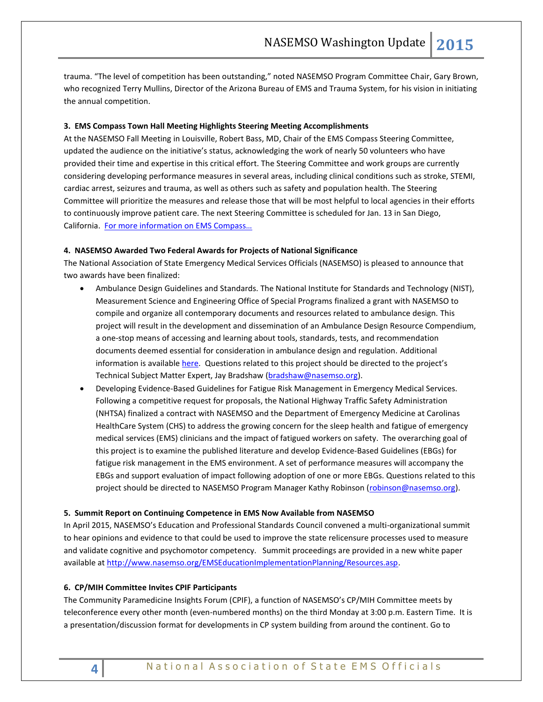trauma. "The level of competition has been outstanding," noted NASEMSO Program Committee Chair, Gary Brown, who recognized Terry Mullins, Director of the Arizona Bureau of EMS and Trauma System, for his vision in initiating the annual competition.

## **3. EMS Compass Town Hall Meeting Highlights Steering Meeting Accomplishments**

At the NASEMSO Fall Meeting in Louisville, Robert Bass, MD, Chair of the EMS Compass Steering Committee, updated the audience on the initiative's status, acknowledging the work of nearly 50 volunteers who have provided their time and expertise in this critical effort. The Steering Committee and work groups are currently considering developing performance measures in several areas, including clinical conditions such as stroke, STEMI, cardiac arrest, seizures and trauma, as well as others such as safety and population health. The Steering Committee will prioritize the measures and release those that will be most helpful to local agencies in their efforts to continuously improve patient care. The next Steering Committee is scheduled for Jan. 13 in San Diego, California. [For more information on EMS Compass…](http://www.emscompass.org/)

## **4. NASEMSO Awarded Two Federal Awards for Projects of National Significance**

The National Association of State Emergency Medical Services Officials (NASEMSO) is pleased to announce that two awards have been finalized:

- Ambulance Design Guidelines and Standards. The National Institute for Standards and Technology (NIST), Measurement Science and Engineering Office of Special Programs finalized a grant with NASEMSO to compile and organize all contemporary documents and resources related to ambulance design. This project will result in the development and dissemination of an Ambulance Design Resource Compendium, a one-stop means of accessing and learning about tools, standards, tests, and recommendation documents deemed essential for consideration in ambulance design and regulation. Additional information is available [here.](http://www.nist.gov/director/rd-by-nist-and-partners-yields-new-standard-for-safer-ambulances.cfm) Questions related to this project should be directed to the project's Technical Subject Matter Expert, Jay Bradshaw [\(bradshaw@nasemso.org\)](mailto:bradshaw@nasemso.org).
- Developing Evidence-Based Guidelines for Fatigue Risk Management in Emergency Medical Services. Following a competitive request for proposals, the National Highway Traffic Safety Administration (NHTSA) finalized a contract with NASEMSO and the Department of Emergency Medicine at Carolinas HealthCare System (CHS) to address the growing concern for the sleep health and fatigue of emergency medical services (EMS) clinicians and the impact of fatigued workers on safety. The overarching goal of this project is to examine the published literature and develop Evidence-Based Guidelines (EBGs) for fatigue risk management in the EMS environment. A set of performance measures will accompany the EBGs and support evaluation of impact following adoption of one or more EBGs. Questions related to this project should be directed to NASEMSO Program Manager Kathy Robinson [\(robinson@nasemso.org\)](mailto:robinson@nasemso.org).

## **5. Summit Report on Continuing Competence in EMS Now Available from NASEMSO**

In April 2015, NASEMSO's Education and Professional Standards Council convened a multi-organizational summit to hear opinions and evidence to that could be used to improve the state relicensure processes used to measure and validate cognitive and psychomotor competency. Summit proceedings are provided in a new white paper available a[t http://www.nasemso.org/EMSEducationImplementationPlanning/Resources.asp.](http://www.nasemso.org/EMSEducationImplementationPlanning/Resources.asp)

## **6. CP/MIH Committee Invites CPIF Participants**

The Community Paramedicine Insights Forum (CPIF), a function of NASEMSO's CP/MIH Committee meets by teleconference every other month (even-numbered months) on the third Monday at 3:00 p.m. Eastern Time. It is a presentation/discussion format for developments in CP system building from around the continent. Go to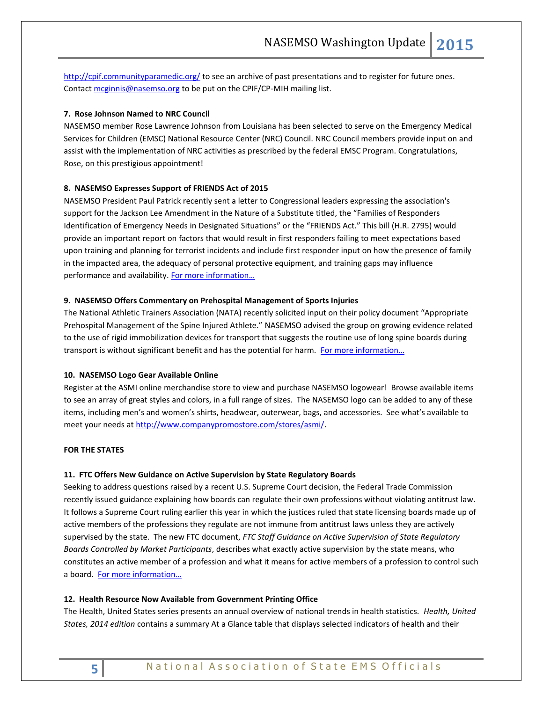<http://cpif.communityparamedic.org/> to see an archive of past presentations and to register for future ones. Contact [mcginnis@nasemso.org](mailto:mcginnis@nasemso.org) to be put on the CPIF/CP-MIH mailing list.

## **7. Rose Johnson Named to NRC Council**

NASEMSO member Rose Lawrence Johnson from Louisiana has been selected to serve on the Emergency Medical Services for Children (EMSC) National Resource Center (NRC) Council. NRC Council members provide input on and assist with the implementation of NRC activities as prescribed by the federal EMSC Program. Congratulations, Rose, on this prestigious appointment!

## **8. NASEMSO Expresses Support of FRIENDS Act of 2015**

NASEMSO President Paul Patrick recently sent a letter to Congressional leaders expressing the association's support for the Jackson Lee Amendment in the Nature of a Substitute titled, the "Families of Responders Identification of Emergency Needs in Designated Situations" or the "FRIENDS Act." This bill (H.R. 2795) would provide an important report on factors that would result in first responders failing to meet expectations based upon training and planning for terrorist incidents and include first responder input on how the presence of family in the impacted area, the adequacy of personal protective equipment, and training gaps may influence performance and availability. For more [information…](http://www.nasemso.org/Advocacy/Supported/index.asp)

## **9. NASEMSO Offers Commentary on Prehospital Management of Sports Injuries**

The National Athletic Trainers Association (NATA) recently solicited input on their policy document "Appropriate Prehospital Management of the Spine Injured Athlete." NASEMSO advised the group on growing evidence related to the use of rigid immobilization devices for transport that suggests the routine use of long spine boards during transport is without significant benefit and has the potential for harm. For more information...

## **10. NASEMSO Logo Gear Available Online**

Register at the ASMI online merchandise store to view and purchase NASEMSO logowear! Browse available items to see an array of great styles and colors, in a full range of sizes. The NASEMSO logo can be added to any of these items, including men's and women's shirts, headwear, outerwear, bags, and accessories. See what's available to meet your needs at [http://www.companypromostore.com/stores/asmi/.](http://www.companypromostore.com/stores/asmi/)

## <span id="page-4-0"></span>**FOR THE STATES**

## **11. FTC Offers New Guidance on Active Supervision by State Regulatory Boards**

Seeking to address questions raised by a recent U.S. Supreme Court decision, the Federal Trade Commission recently issued guidance explaining how boards can regulate their own professions without violating antitrust law. It follows a Supreme Court ruling earlier this year in which the justices ruled that state licensing boards made up of active members of the professions they regulate are not immune from antitrust laws unless they are actively supervised by the state. The new FTC document, *FTC Staff Guidance on Active Supervision of State Regulatory Boards Controlled by Market Participants*, describes what exactly active supervision by the state means, who constitutes an active member of a profession and what it means for active members of a profession to control such a board. For more information...

## **12. Health Resource Now Available from Government Printing Office**

The Health, United States series presents an annual overview of national trends in health statistics. *Health, United States, 2014 edition* contains a summary At a Glance table that displays selected indicators of health and their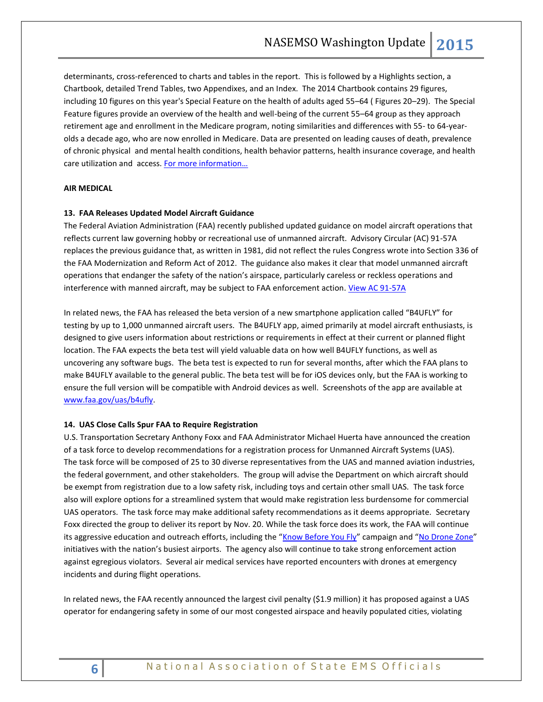determinants, cross-referenced to charts and tables in the report. This is followed by a Highlights section, a Chartbook, detailed Trend Tables, two Appendixes, and an Index. The 2014 Chartbook contains 29 figures, including 10 figures on this year's Special Feature on the health of adults aged 55–64 ( Figures 20–29). The Special Feature figures provide an overview of the health and well-being of the current 55–64 group as they approach retirement age and enrollment in the Medicare program, noting similarities and differences with 55- to 64-yearolds a decade ago, who are now enrolled in Medicare. Data are presented on leading causes of death, prevalence of chronic physical and mental health conditions, health behavior patterns, health insurance coverage, and health care utilization and access. For more information...

## <span id="page-5-0"></span>**AIR MEDICAL**

## **13. FAA Releases Updated Model Aircraft Guidance**

The Federal Aviation Administration (FAA) recently published updated guidance on model aircraft operations that reflects current law governing hobby or recreational use of unmanned aircraft. Advisory Circular (AC) 91-57A replaces the previous guidance that, as written in 1981, did not reflect the rules Congress wrote into Section 336 of the FAA Modernization and Reform Act of 2012. The guidance also makes it clear that model unmanned aircraft operations that endanger the safety of the nation's airspace, particularly careless or reckless operations and interference with manned aircraft, may be subject to FAA enforcement action. [View AC 91-57A](http://www.faa.gov/regulations_policies/advisory_circulars/index.cfm/go/document.information/documentID/1028086)

In related news, the FAA has released the beta version of a new smartphone application called "B4UFLY" for testing by up to 1,000 unmanned aircraft users. The B4UFLY app, aimed primarily at model aircraft enthusiasts, is designed to give users information about restrictions or requirements in effect at their current or planned flight location. The FAA expects the beta test will yield valuable data on how well B4UFLY functions, as well as uncovering any software bugs. The beta test is expected to run for several months, after which the FAA plans to make B4UFLY available to the general public. The beta test will be for iOS devices only, but the FAA is working to ensure the full version will be compatible with Android devices as well. Screenshots of the app are available at [www.faa.gov/uas/b4ufly.](http://www.faa.gov/uas/b4ufly)

## **14. UAS Close Calls Spur FAA to Require Registration**

U.S. Transportation Secretary Anthony Foxx and FAA Administrator Michael Huerta have announced the creation of a task force to develop recommendations for a registration process for Unmanned Aircraft Systems (UAS). The task force will be composed of 25 to 30 diverse representatives from the UAS and manned aviation industries, the federal government, and other stakeholders. The group will advise the Department on which aircraft should be exempt from registration due to a low safety risk, including toys and certain other small UAS. The task force also will explore options for a streamlined system that would make registration less burdensome for commercial UAS operators. The task force may make additional safety recommendations as it deems appropriate. Secretary Foxx directed the group to deliver its report by Nov. 20. While the task force does its work, the FAA will continue its aggressive education and outreach efforts, including the "[Know Before You Fly](http://www.faa.gov/exit/?pageName=Know%20Before%20You%20Fly&pgLnk=http%3A%2F%2Fknowbeforeyoufly%2Eorg%2F)" campaign and "[No Drone Zone](https://www.faa.gov/uas/no_drone_zone/)" initiatives with the nation's busiest airports. The agency also will continue to take strong enforcement action against egregious violators. Several air medical services have reported encounters with drones at emergency incidents and during flight operations.

In related news, the FAA recently announced the largest civil penalty (\$1.9 million) it has proposed against a UAS operator for endangering safety in some of our most congested airspace and heavily populated cities, violating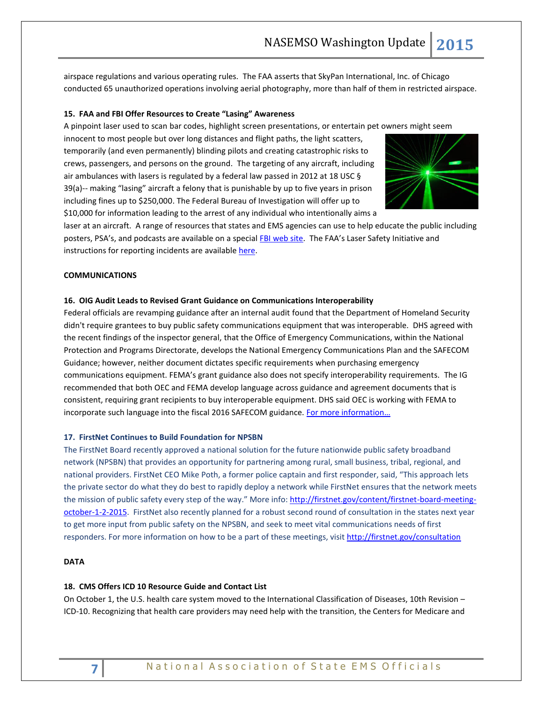airspace regulations and various operating rules. The FAA asserts that SkyPan International, Inc. of Chicago conducted 65 unauthorized operations involving aerial photography, more than half of them in restricted airspace.

## **15. FAA and FBI Offer Resources to Create "Lasing" Awareness**

A pinpoint laser used to scan bar codes, highlight screen presentations, or entertain pet owners might seem

innocent to most people but over long distances and flight paths, the light scatters, temporarily (and even permanently) blinding pilots and creating catastrophic risks to crews, passengers, and persons on the ground. The targeting of any aircraft, including air ambulances with lasers is regulated by a federal law passed in 2012 at 18 USC § 39(a)-- making "lasing" aircraft a felony that is punishable by up to five years in prison including fines up to \$250,000. The Federal Bureau of Investigation will offer up to \$10,000 for information leading to the arrest of any individual who intentionally aims a



laser at an aircraft. A range of resources that states and EMS agencies can use to help educate the public including posters, PSA's, and podcasts are available on a special [FBI web site](https://www.fbi.gov/news/stories/2014/february/protecting-aircraft-from-lasers). The FAA's Laser Safety Initiative and instructions for reporting incidents are availabl[e here.](http://www.faa.gov/about/initiatives/lasers/)

## <span id="page-6-0"></span>**COMMUNICATIONS**

## **16. OIG Audit Leads to Revised Grant Guidance on Communications Interoperability**

Federal officials are revamping guidance after an internal audit found that the Department of Homeland Security didn't require grantees to buy public safety communications equipment that was interoperable. DHS agreed with the recent findings of the inspector general, that the Office of Emergency Communications, within the National Protection and Programs Directorate, develops the National Emergency Communications Plan and the SAFECOM Guidance; however, neither document dictates specific requirements when purchasing emergency communications equipment. FEMA's grant guidance also does not specify interoperability requirements. The IG recommended that both OEC and FEMA develop language across guidance and agreement documents that is consistent, requiring grant recipients to buy interoperable equipment. DHS said OEC is working with FEMA to incorporate such language into the fiscal 2016 SAFECOM guidance. For more information...

## **17. FirstNet Continues to Build Foundation for NPSBN**

The FirstNet Board recently approved a national solution for the future nationwide public safety broadband network (NPSBN) that provides an opportunity for partnering among rural, small business, tribal, regional, and national providers. FirstNet CEO Mike Poth, a former police captain and first responder, said, "This approach lets the private sector do what they do best to rapidly deploy a network while FirstNet ensures that the network meets the mission of public safety every step of the way." More info: [http://firstnet.gov/content/firstnet-board-meeting](http://firstnet.gov/content/firstnet-board-meeting-october-1-2-2015)[october-1-2-2015.](http://firstnet.gov/content/firstnet-board-meeting-october-1-2-2015) FirstNet also recently planned for a robust second round of consultation in the states next year to get more input from public safety on the NPSBN, and seek to meet vital communications needs of first responders. For more information on how to be a part of these meetings, visit<http://firstnet.gov/consultation>

## <span id="page-6-1"></span>**DATA**

#### **18. CMS Offers ICD 10 Resource Guide and Contact List**

On October 1, the U.S. health care system moved to the International Classification of Diseases, 10th Revision – ICD-10. Recognizing that health care providers may need help with the transition, the Centers for Medicare and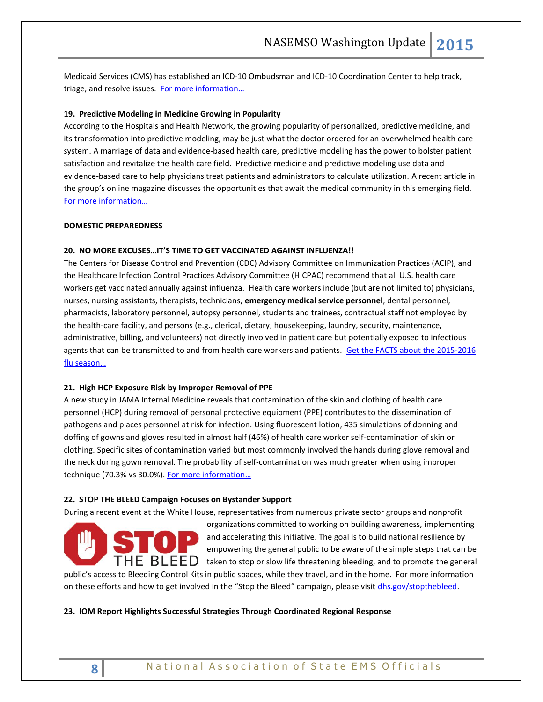Medicaid Services (CMS) has established an ICD-10 Ombudsman and ICD-10 Coordination Center to help track, triage, and resolve issues. [For more information…](https://www.cms.gov/Medicare/Coding/ICD10/ICD-10-Provider-Contact-Table.pdf)

## <span id="page-7-0"></span>**19. Predictive Modeling in Medicine Growing in Popularity**

According to the Hospitals and Health Network, the growing popularity of personalized, predictive medicine, and its transformation into predictive modeling, may be just what the doctor ordered for an overwhelmed health care system. A marriage of data and evidence-based health care, predictive modeling has the power to bolster patient satisfaction and revitalize the health care field. Predictive medicine and predictive modeling use data and evidence-based care to help physicians treat patients and administrators to calculate utilization. A recent article in the group's online magazine discusses the opportunities that await the medical community in this emerging field. [For more information…](http://www.hhnmag.com/articles/6662-improving-medicine-with-predictive-modeling)

## **DOMESTIC PREPAREDNESS**

## **20. NO MORE EXCUSES…IT'S TIME TO GET VACCINATED AGAINST INFLUENZA!!**

The Centers for Disease Control and Prevention (CDC) Advisory Committee on Immunization Practices (ACIP), and the Healthcare Infection Control Practices Advisory Committee (HICPAC) recommend that all U.S. health care workers get vaccinated annually against influenza. Health care workers include (but are not limited to) physicians, nurses, nursing assistants, therapists, technicians, **emergency medical service personnel**, dental personnel, pharmacists, laboratory personnel, autopsy personnel, students and trainees, contractual staff not employed by the health-care facility, and persons (e.g., clerical, dietary, housekeeping, laundry, security, maintenance, administrative, billing, and volunteers) not directly involved in patient care but potentially exposed to infectious agents that can be transmitted to and from health care workers and patients. [Get the FACTS about the 2015-2016](http://www.cdc.gov/flu/about/season/upcoming.htm)  flu s[eason…](http://www.cdc.gov/flu/about/season/upcoming.htm)

#### **21. High HCP Exposure Risk by Improper Removal of PPE**

A new study in JAMA Internal Medicine reveals that contamination of the skin and clothing of health care personnel (HCP) during removal of personal protective equipment (PPE) contributes to the dissemination of pathogens and places personnel at risk for infection. Using fluorescent lotion, 435 simulations of donning and doffing of gowns and gloves resulted in almost half (46%) of health care worker self-contamination of skin or clothing. Specific sites of contamination varied but most commonly involved the hands during glove removal and the neck during gown removal. The probability of self-contamination was much greater when using improper technique (70.3% vs 30.0%). For more information...

#### **22. STOP THE BLEED Campaign Focuses on Bystander Support**

During a recent event at the White House, representatives from numerous private sector groups and nonprofit



organizations committed to working on building awareness, implementing and accelerating this initiative. The goal is to build national resilience by empowering the general public to be aware of the simple steps that can be  $\mathsf{THE}\;\mathsf{BLEED}\;$  taken to stop or slow life threatening bleeding, and to promote the general

public's access to Bleeding Control Kits in public spaces, while they travel, and in the home. For more information on these efforts and how to get involved in the "Stop the Bleed" campaign, please visit [dhs.gov/stopthebleed.](http://www.dhs.gov/stopthebleed)

## **23. IOM Report Highlights Successful Strategies Through Coordinated Regional Response**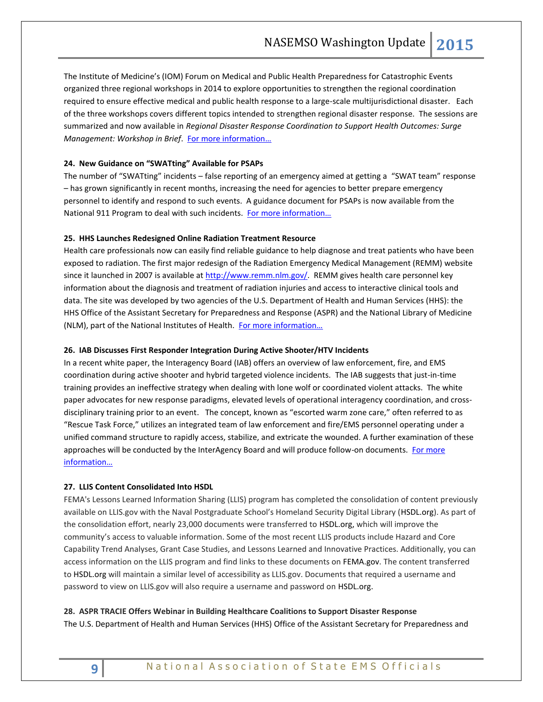The Institute of Medicine's (IOM) Forum on Medical and Public Health Preparedness for Catastrophic Events organized three regional workshops in 2014 to explore opportunities to strengthen the regional coordination required to ensure effective medical and public health response to a large-scale multijurisdictional disaster. Each of the three workshops covers different topics intended to strengthen regional disaster response. The sessions are summarized and now available in *Regional Disaster Response Coordination to Support Health Outcomes: Surge Management: Workshop in Brief.* For more information...

## **24. New Guidance on "SWATting" Available for PSAPs**

The number of "SWATting" incidents – false reporting of an emergency aimed at getting a "SWAT team" response – has grown significantly in recent months, increasing the need for agencies to better prepare emergency personnel to identify and respond to such events. A guidance document for PSAPs is now available from the National 911 Program to deal with such incidents. For more information...

## **25. HHS Launches Redesigned Online Radiation Treatment Resource**

Health care professionals now can easily find reliable guidance to help diagnose and treat patients who have been exposed to radiation. The first major redesign of the Radiation Emergency Medical Management (REMM) website since it launched in 2007 is available at [http://www.remm.nlm.gov/.](http://www.remm.nlm.gov/) REMM gives health care personnel key information about the diagnosis and treatment of radiation injuries and access to interactive clinical tools and data. The site was developed by two agencies of the U.S. Department of Health and Human Services (HHS): the HHS Office of the Assistant Secretary for Preparedness and Response (ASPR) and the National Library of Medicine (NLM), part of the National Institutes of Health. For more information...

## **26. IAB Discusses First Responder Integration During Active Shooter/HTV Incidents**

In a recent white paper, the Interagency Board (IAB) offers an overview of law enforcement, fire, and EMS coordination during active shooter and hybrid targeted violence incidents. The IAB suggests that just-in-time training provides an ineffective strategy when dealing with lone wolf or coordinated violent attacks. The white paper advocates for new response paradigms, elevated levels of operational interagency coordination, and crossdisciplinary training prior to an event. The concept, known as "escorted warm zone care," often referred to as "Rescue Task Force," utilizes an integrated team of law enforcement and fire/EMS personnel operating under a unified command structure to rapidly access, stabilize, and extricate the wounded. A further examination of these approaches will be conducted by the InterAgency Board and will produce follow-on documents. [For more](https://iab.gov/Uploads/Integrating%20LE_Fire_EMS%20during%20HTV_FINAL.pdf)  [information…](https://iab.gov/Uploads/Integrating%20LE_Fire_EMS%20during%20HTV_FINAL.pdf)

## **27. LLIS Content Consolidated Into HSDL**

FEMA's Lessons Learned Information Sharing (LLIS) program has completed the consolidation of content previously available on LLIS.gov with the Naval Postgraduate School's Homeland Security Digital Library (HSDL.org). As part of the consolidation effort, nearly 23,000 documents were transferred to HSDL.org, which will improve the community's access to valuable information. Some of the most recent LLIS products include Hazard and Core Capability Trend Analyses, Grant Case Studies, and Lessons Learned and Innovative Practices. Additionally, you can access information on the LLIS program and find links to these documents on FEMA.gov. The content transferred to HSDL.org will maintain a similar level of accessibility as LLIS.gov. Documents that required a username and password to view on LLIS.gov will also require a username and password on HSDL.org.

## **28. ASPR TRACIE Offers Webinar in Building Healthcare Coalitions to Support Disaster Response**

The U.S. Department of Health and Human Services (HHS) Office of the Assistant Secretary for Preparedness and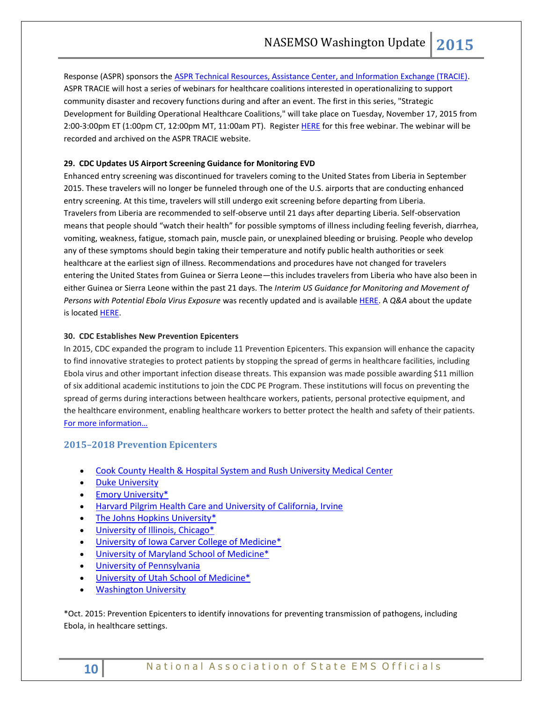Response (ASPR) sponsors the [ASPR Technical Resources, Assistance Center, and Information Exchange \(TRACIE\).](https://asprtracie.hhs.gov/) ASPR TRACIE will host a series of webinars for healthcare coalitions interested in operationalizing to support community disaster and recovery functions during and after an event. The first in this series, "Strategic Development for Building Operational Healthcare Coalitions," will take place on Tuesday, November 17, 2015 from 2:00-3:00pm ET (1:00pm CT, 12:00pm MT, 11:00am PT). Register [HERE](https://attendee.gotowebinar.com/register/8336990112788803074) for this free webinar. The webinar will be recorded and archived on the ASPR TRACIE website.

## **29. CDC Updates US Airport Screening Guidance for Monitoring EVD**

Enhanced entry screening was discontinued for travelers coming to the United States from Liberia in September 2015. These travelers will no longer be funneled through one of the U.S. airports that are conducting enhanced entry screening. At this time, travelers will still undergo exit screening before departing from Liberia. Travelers from Liberia are recommended to self-observe until 21 days after departing Liberia. Self-observation means that people should "watch their health" for possible symptoms of illness including feeling feverish, diarrhea, vomiting, weakness, fatigue, stomach pain, muscle pain, or unexplained bleeding or bruising. People who develop any of these symptoms should begin taking their temperature and notify public health authorities or seek healthcare at the earliest sign of illness. Recommendations and procedures have not changed for travelers entering the United States from Guinea or Sierra Leone—this includes travelers from Liberia who have also been in either Guinea or Sierra Leone within the past 21 days. The *Interim US Guidance for Monitoring and Movement of Persons with Potential Ebola Virus Exposure* was recently updated and is availabl[e HERE.](http://www.cdc.gov/vhf/ebola/exposure/monitoring-and-movement-of-persons-with-exposure.html) A *Q&A* about the update is located [HERE.](http://www.cdc.gov/vhf/ebola/exposure/qas-monitoring-and-movement-guidance.html)

## **30. CDC Establishes New Prevention Epicenters**

In 2015, CDC expanded the program to include 11 Prevention Epicenters. This expansion will enhance the capacity to find innovative strategies to protect patients by stopping the spread of germs in healthcare facilities, including Ebola virus and other important infection disease threats. This expansion was made possible awarding \$11 million of six additional academic institutions to join the CDC PE Program. These institutions will focus on preventing the spread of germs during interactions between healthcare workers, patients, personal protective equipment, and the healthcare environment, enabling healthcare workers to better protect the health and safety of their patients. [For more information…](http://www.cdc.gov/hai/epiCenters/new_research.html)

## **2015–2018 Prevention Epicenters**

- [Cook County Health & Hospital System and Rush University Medical Center](http://www.cdc.gov/HAI/epiCenters/Chicago.html)
- **•** [Duke University](http://www.cdc.gov/HAI/epiCenters/Duke_Univ.html)
- [Emory University\\*](http://www.cdc.gov/hai/epiCenters/Emory_Univ.html)
- [Harvard Pilgrim Health Care and University of California, Irvine](http://www.cdc.gov/HAI/epiCenters/Harvard-Pilgrim-and-Univ_California.html)
- [The Johns Hopkins University\\*](http://www.cdc.gov/HAI/epiCenters/Johns-Hopkins_Univ.html)
- [University of Illinois, Chicago\\*](http://www.cdc.gov/HAI/epiCenters/Univ_Illinois.html)
- [University of Iowa Carver College of Medicine\\*](http://www.cdc.gov/HAI/epiCenters/Univ_Iowa.html)
- [University of Maryland School of Medicine\\*](http://www.cdc.gov/HAI/epiCenters/Univ_Maryland.html)
- **•** University of Pennsylvania
- [University of Utah School of Medicine\\*](http://www.cdc.gov/HAI/epiCenters/Univ_Utah.html)
- **[Washington University](http://www.cdc.gov/hai/epiCenters/Washington_Univ.html)**

\*Oct. 2015: Prevention Epicenters to identify innovations for preventing transmission of pathogens, including Ebola, in healthcare settings.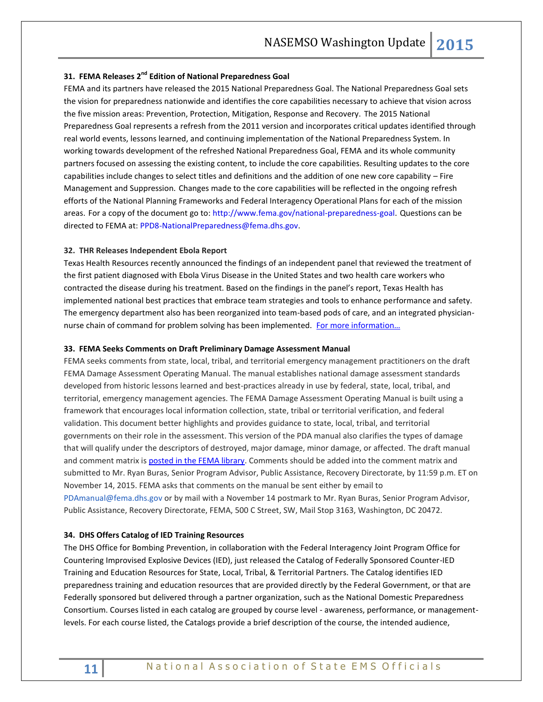## **31. FEMA Releases 2nd Edition of National Preparedness Goal**

FEMA and its partners have released the 2015 National Preparedness Goal. The National Preparedness Goal sets the vision for preparedness nationwide and identifies the core capabilities necessary to achieve that vision across the five mission areas: Prevention, Protection, Mitigation, Response and Recovery. The 2015 National Preparedness Goal represents a refresh from the 2011 version and incorporates critical updates identified through real world events, lessons learned, and continuing implementation of the National Preparedness System. In working towards development of the refreshed National Preparedness Goal, FEMA and its whole community partners focused on assessing the existing content, to include the core capabilities. Resulting updates to the core capabilities include changes to select titles and definitions and the addition of one new core capability – Fire Management and Suppression. Changes made to the core capabilities will be reflected in the ongoing refresh efforts of the National Planning Frameworks and Federal Interagency Operational Plans for each of the mission areas. For a copy of the document go to: [http://www.fema.gov/national-preparedness-goal.](http://links.govdelivery.com/track?type=click&enid=ZWFzPTEmbWFpbGluZ2lkPTIwMTUxMDAyLjQ5NzkyMjYxJm1lc3NhZ2VpZD1NREItUFJELUJVTC0yMDE1MTAwMi40OTc5MjI2MSZkYXRhYmFzZWlkPTEwMDEmc2VyaWFsPTE3NTY2MDM5JmVtYWlsaWQ9cm9iaW5zb25AbmFzZW1zby5vcmcmdXNlcmlkPXJvYmluc29uQG5hc2Vtc28ub3JnJmZsPSZleHRyYT1NdWx0aXZhcmlhdGVJZD0mJiY=&&&100&&&http://www.fema.gov/national-preparedness-goal) Questions can be directed to FEMA at: [PPD8-NationalPreparedness@fema.dhs.gov.](mailto:PPD8-NationalPreparedness@fema.dhs.gov)

#### **32. THR Releases Independent Ebola Report**

Texas Health Resources recently announced the findings of an independent panel that reviewed the treatment of the first patient diagnosed with Ebola Virus Disease in the United States and two health care workers who contracted the disease during his treatment. Based on the findings in the panel's report, Texas Health has implemented national best practices that embrace team strategies and tools to enhance performance and safety. The emergency department also has been reorganized into team-based pods of care, and an integrated physiciannurse chain of command for problem solving has been implemented. For more information...

## **33. FEMA Seeks Comments on Draft Preliminary Damage Assessment Manual**

FEMA seeks comments from state, local, tribal, and territorial emergency management practitioners on the draft FEMA Damage Assessment Operating Manual. The manual establishes national damage assessment standards developed from historic lessons learned and best-practices already in use by federal, state, local, tribal, and territorial, emergency management agencies. The FEMA Damage Assessment Operating Manual is built using a framework that encourages local information collection, state, tribal or territorial verification, and federal validation. This document better highlights and provides guidance to state, local, tribal, and territorial governments on their role in the assessment. This version of the PDA manual also clarifies the types of damage that will qualify under the descriptors of destroyed, major damage, minor damage, or affected. The draft manual and comment matrix is [posted in the FEMA library.](http://www.fema.gov/media-library/assets/documents/109040) Comments should be added into the comment matrix and submitted to Mr. Ryan Buras, Senior Program Advisor, Public Assistance, Recovery Directorate, by 11:59 p.m. ET on November 14, 2015. FEMA asks that comments on the manual be sent either by email to [PDAmanual@fema.dhs.gov](mailto:PDAmanual@fema.dhs.gov) or by mail with a November 14 postmark to Mr. Ryan Buras, Senior Program Advisor, Public Assistance, Recovery Directorate, FEMA, 500 C Street, SW, Mail Stop 3163, Washington, DC 20472.

## <span id="page-10-0"></span>**34. DHS Offers Catalog of IED Training Resources**

The DHS Office for Bombing Prevention, in collaboration with the Federal Interagency Joint Program Office for Countering Improvised Explosive Devices (IED), just released the Catalog of Federally Sponsored Counter-IED Training and Education Resources for State, Local, Tribal, & Territorial Partners. The Catalog identifies IED preparedness training and education resources that are provided directly by the Federal Government, or that are Federally sponsored but delivered through a partner organization, such as the National Domestic Preparedness Consortium. Courses listed in each catalog are grouped by course level - awareness, performance, or managementlevels. For each course listed, the Catalogs provide a brief description of the course, the intended audience,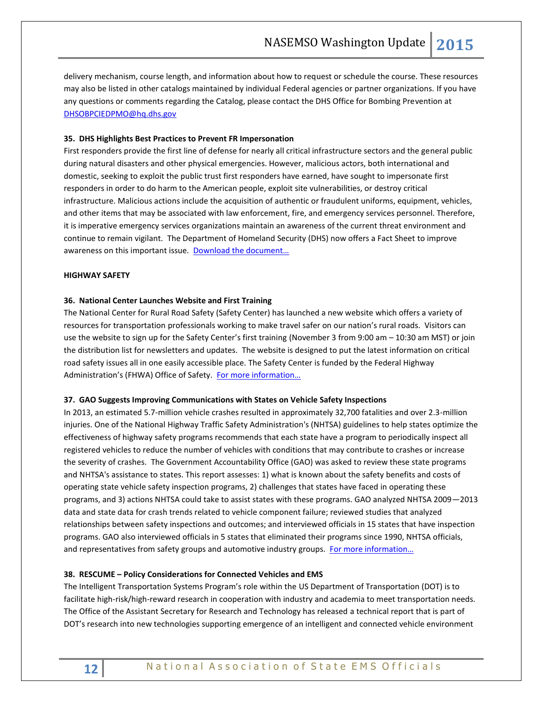delivery mechanism, course length, and information about how to request or schedule the course. These resources may also be listed in other catalogs maintained by individual Federal agencies or partner organizations. If you have any questions or comments regarding the Catalog, please contact the DHS Office for Bombing Prevention at [DHSOBPCIEDPMO@hq.dhs.gov](mailto:DHSOBPCIEDPMO@hq.dhs.gov)

## **35. DHS Highlights Best Practices to Prevent FR Impersonation**

First responders provide the first line of defense for nearly all critical infrastructure sectors and the general public during natural disasters and other physical emergencies. However, malicious actors, both international and domestic, seeking to exploit the public trust first responders have earned, have sought to impersonate first responders in order to do harm to the American people, exploit site vulnerabilities, or destroy critical infrastructure. Malicious actions include the acquisition of authentic or fraudulent uniforms, equipment, vehicles, and other items that may be associated with law enforcement, fire, and emergency services personnel. Therefore, it is imperative emergency services organizations maintain an awareness of the current threat environment and continue to remain vigilant. The Department of Homeland Security (DHS) now offers a Fact Sheet to improve awareness on this important issue. Download the document...

## **HIGHWAY SAFETY**

## **36. National Center Launches Website and First Training**

The National Center for Rural Road Safety (Safety Center) has launched a new website which offers a variety of resources for transportation professionals working to make travel safer on our nation's rural roads. Visitors can use the website to sign up for the Safety Center's first training (November 3 from 9:00 am – 10:30 am MST) or join the distribution list for newsletters and updates. The website is designed to put the latest information on critical road safety issues all in one easily accessible place. The Safety Center is funded by the Federal Highway Administration's (FHWA) Office of Safety. For more information...

## **37. GAO Suggests Improving Communications with States on Vehicle Safety Inspections**

In 2013, an estimated 5.7-million vehicle crashes resulted in approximately 32,700 fatalities and over 2.3-million injuries. One of the National Highway Traffic Safety Administration's (NHTSA) guidelines to help states optimize the effectiveness of highway safety programs recommends that each state have a program to periodically inspect all registered vehicles to reduce the number of vehicles with conditions that may contribute to crashes or increase the severity of crashes. The Government Accountability Office (GAO) was asked to review these state programs and NHTSA's assistance to states. This report assesses: 1) what is known about the safety benefits and costs of operating state vehicle safety inspection programs, 2) challenges that states have faced in operating these programs, and 3) actions NHTSA could take to assist states with these programs. GAO analyzed NHTSA 2009—2013 data and state data for crash trends related to vehicle component failure; reviewed studies that analyzed relationships between safety inspections and outcomes; and interviewed officials in 15 states that have inspection programs. GAO also interviewed officials in 5 states that eliminated their programs since 1990, NHTSA officials, and representatives from safety groups and automotive industry groups. For more information...

## **38. RESCUME – Policy Considerations for Connected Vehicles and EMS**

The Intelligent Transportation Systems Program's role within the US Department of Transportation (DOT) is to facilitate high-risk/high-reward research in cooperation with industry and academia to meet transportation needs. The Office of the Assistant Secretary for Research and Technology has released a technical report that is part of DOT's research into new technologies supporting emergence of an intelligent and connected vehicle environment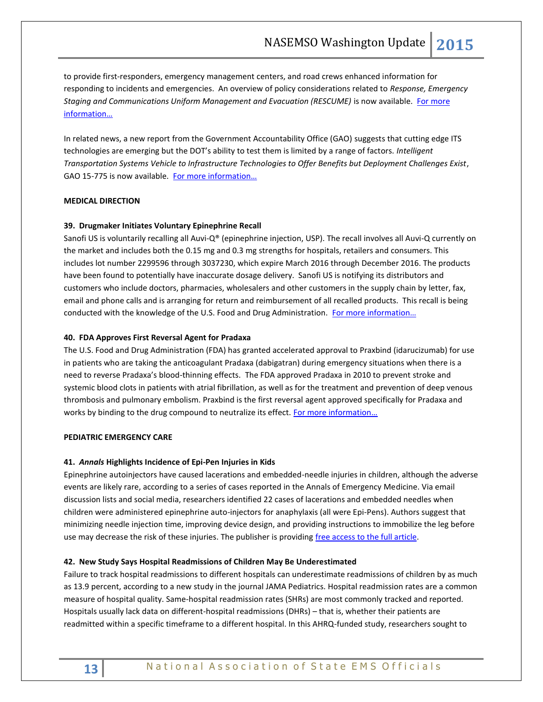to provide first-responders, emergency management centers, and road crews enhanced information for responding to incidents and emergencies. An overview of policy considerations related to *Response, Emergency Staging and Communications Uniform Management and Evacuation (RESCUME)* is now available. [For more](http://ntl.bts.gov/lib/55000/55300/55305/FHWA-JPO-14-137_v1.pdf)  [information…](http://ntl.bts.gov/lib/55000/55300/55305/FHWA-JPO-14-137_v1.pdf)

In related news, a new report from the Government Accountability Office (GAO) suggests that cutting edge ITS technologies are emerging but the DOT's ability to test them is limited by a range of factors. *Intelligent Transportation Systems Vehicle to Infrastructure Technologies to Offer Benefits but Deployment Challenges Exist*, GAO 15-775 is now available. For more information...

## <span id="page-12-0"></span>**MEDICAL DIRECTION**

## **39. Drugmaker Initiates Voluntary Epinephrine Recall**

Sanofi US is voluntarily recalling all Auvi-Q® (epinephrine injection, USP). The recall involves all Auvi-Q currently on the market and includes both the 0.15 mg and 0.3 mg strengths for hospitals, retailers and consumers. This includes lot number 2299596 through 3037230, which expire March 2016 through December 2016. The products have been found to potentially have inaccurate dosage delivery. Sanofi US is notifying its distributors and customers who include doctors, pharmacies, wholesalers and other customers in the supply chain by letter, fax, email and phone calls and is arranging for return and reimbursement of all recalled products. This recall is being conducted with the knowledge of the U.S. Food and Drug Administration. For more information...

## **40. FDA Approves First Reversal Agent for Pradaxa**

The U.S. Food and Drug Administration (FDA) has granted accelerated approval to Praxbind (idarucizumab) for use in patients who are taking the anticoagulant Pradaxa (dabigatran) during emergency situations when there is a need to reverse Pradaxa's blood-thinning effects. The FDA approved Pradaxa in 2010 to prevent stroke and systemic blood clots in patients with atrial fibrillation, as well as for the treatment and prevention of deep venous thrombosis and pulmonary embolism. Praxbind is the first reversal agent approved specifically for Pradaxa and works by binding to the drug compound to neutralize its effect. For more information...

## <span id="page-12-1"></span>**PEDIATRIC EMERGENCY CARE**

## **41.** *Annals* **Highlights Incidence of Epi-Pen Injuries in Kids**

Epinephrine autoinjectors have caused lacerations and embedded-needle injuries in children, although the adverse events are likely rare, according to a series of cases reported in the Annals of Emergency Medicine. Via email discussion lists and social media, researchers identified 22 cases of lacerations and embedded needles when children were administered epinephrine auto-injectors for anaphylaxis (all were Epi-Pens). Authors suggest that minimizing needle injection time, improving device design, and providing instructions to immobilize the leg before use may decrease the risk of these injuries. The publisher is providing [free access to the full article.](http://www.annemergmed.com/article/S0196-0644%2815%2900588-0/pdf)

## **42. New Study Says Hospital Readmissions of Children May Be Underestimated**

Failure to track hospital readmissions to different hospitals can underestimate readmissions of children by as much as 13.9 percent, according to a new study in the journal JAMA Pediatrics. Hospital readmission rates are a common measure of hospital quality. Same-hospital readmission rates (SHRs) are most commonly tracked and reported. Hospitals usually lack data on different-hospital readmissions (DHRs) – that is, whether their patients are readmitted within a specific timeframe to a different hospital. In this AHRQ-funded study, researchers sought to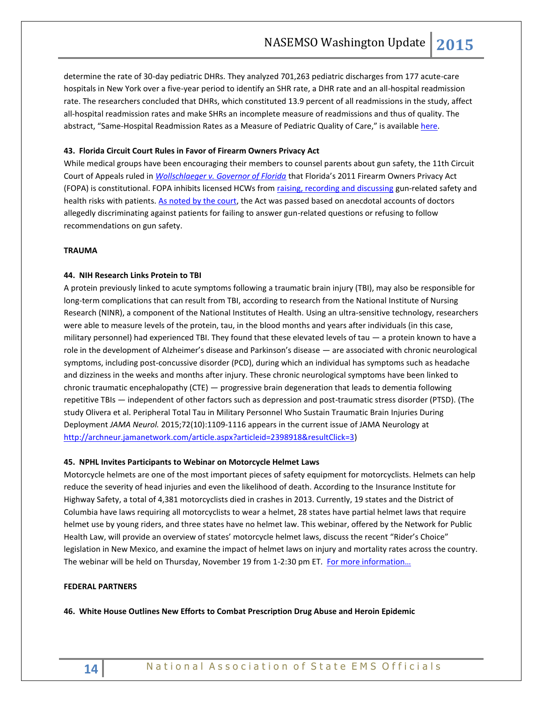determine the rate of 30-day pediatric DHRs. They analyzed 701,263 pediatric discharges from 177 acute-care hospitals in New York over a five-year period to identify an SHR rate, a DHR rate and an all-hospital readmission rate. The researchers concluded that DHRs, which constituted 13.9 percent of all readmissions in the study, affect all-hospital readmission rates and make SHRs an incomplete measure of readmissions and thus of quality. The abstract, "Same-Hospital Readmission Rates as a Measure of Pediatric Quality of Care," is available [here.](http://www.ncbi.nlm.nih.gov/pubmed/26237469)

## **43. Florida Circuit Court Rules in Favor of Firearm Owners Privacy Act**

While medical groups have been encouraging their members to counsel parents about gun safety, the 11th Circuit Court of Appeals ruled in *[Wollschlaeger v. Governor of Florida](http://media.ca11.uscourts.gov/opinions/pub/files/201214009.reh.pdf)* that Florida's 2011 Firearm Owners Privacy Act (FOPA) is constitutional. FOPA inhibits licensed HCWs fro[m raising, recording and discussing](http://www.leg.state.fl.us/Statutes/index.cfm?App_mode=Display_Statute&Search_String=&URL=0700-0799/0790/Sections/0790.338.html) gun-related safety and health risks with patients. [As noted by the court,](http://media.ca11.uscourts.gov/opinions/pub/files/201214009.reh.pdf) the Act was passed based on anecdotal accounts of doctors allegedly discriminating against patients for failing to answer gun-related questions or refusing to follow recommendations on gun safety.

## <span id="page-13-0"></span>**TRAUMA**

## **44. NIH Research Links Protein to TBI**

A protein previously linked to acute symptoms following a traumatic brain injury (TBI), may also be responsible for long-term complications that can result from TBI, according to research from the National Institute of Nursing Research (NINR), a component of the National Institutes of Health. Using an ultra-sensitive technology, researchers were able to measure levels of the protein, tau, in the blood months and years after individuals (in this case, military personnel) had experienced TBI. They found that these elevated levels of tau — a protein known to have a role in the development of Alzheimer's disease and Parkinson's disease — are associated with chronic neurological symptoms, including post-concussive disorder (PCD), during which an individual has symptoms such as headache and dizziness in the weeks and months after injury. These chronic neurological symptoms have been linked to chronic traumatic encephalopathy (CTE) — progressive brain degeneration that leads to dementia following repetitive TBIs — independent of other factors such as depression and post-traumatic stress disorder (PTSD). (The study Olivera et al. Peripheral Total Tau in Military Personnel Who Sustain Traumatic Brain Injuries During Deployment *JAMA Neurol.* 2015;72(10):1109-1116 appears in the current issue of JAMA Neurology at [http://archneur.jamanetwork.com/article.aspx?articleid=2398918&resultClick=3\)](http://archneur.jamanetwork.com/article.aspx?articleid=2398918&resultClick=3)

## **45. NPHL Invites Participants to Webinar on Motorcycle Helmet Laws**

Motorcycle helmets are one of the most important pieces of safety equipment for motorcyclists. Helmets can help reduce the severity of head injuries and even the likelihood of death. According to the Insurance Institute for Highway Safety, a total of 4,381 motorcyclists died in crashes in 2013. Currently, 19 states and the District of Columbia have laws requiring all motorcyclists to wear a helmet, 28 states have partial helmet laws that require helmet use by young riders, and three states have no helmet law. This webinar, offered by the Network for Public Health Law, will provide an overview of states' motorcycle helmet laws, discuss the recent "Rider's Choice" legislation in New Mexico, and examine the impact of helmet laws on injury and mortality rates across the country. The webinar will be held on Thursday, November 19 from 1-2:30 pm ET. [For more information…](https://networkforphl.webex.com/mw3000/mywebex/default.do?nomenu=true&siteurl=networkforphl&service=6&rnd=0.8222515511698426&main_url=https%3A%2F%2Fnetworkforphl.webex.com%2Fec3000%2Feventcenter%2Fevent%2FeventAction.do%3FtheAction%3Ddetail%26confViewID%3D1754183670%26%26EMK%3D4832534b00000002797cce4ed49a6dd09868a17a9c133c414e91dffec9d8db4973e6c5c9cfb69be6%26%26encryptTicket%3DSDJTSwAAAAK80xhHivYspm-FaccWTuHry1_GTr6VV1Q4slF9Tw2peA2%26%26siteurl%3Dnetworkforphl)

#### <span id="page-13-1"></span>**FEDERAL PARTNERS**

**46. White House Outlines New Efforts to Combat Prescription Drug Abuse and Heroin Epidemic**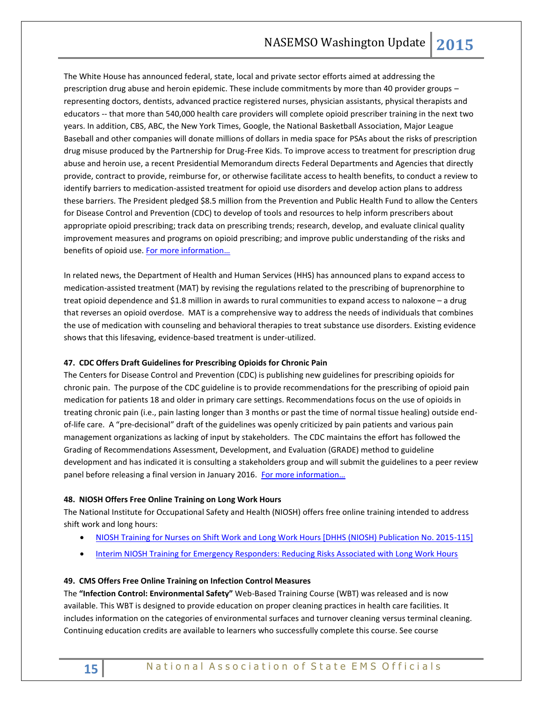The White House has announced federal, state, local and private sector efforts aimed at addressing the prescription drug abuse and heroin epidemic. These include commitments by more than 40 provider groups – representing doctors, dentists, advanced practice registered nurses, physician assistants, physical therapists and educators -- that more than 540,000 health care providers will complete opioid prescriber training in the next two years. In addition, CBS, ABC, the New York Times, Google, the National Basketball Association, Major League Baseball and other companies will donate millions of dollars in media space for PSAs about the risks of prescription drug misuse produced by the Partnership for Drug-Free Kids. To improve access to treatment for prescription drug abuse and heroin use, a recent Presidential Memorandum directs Federal Departments and Agencies that directly provide, contract to provide, reimburse for, or otherwise facilitate access to health benefits, to conduct a review to identify barriers to medication-assisted treatment for opioid use disorders and develop action plans to address these barriers. The President pledged \$8.5 million from the Prevention and Public Health Fund to allow the Centers for Disease Control and Prevention (CDC) to develop of tools and resources to help inform prescribers about appropriate opioid prescribing; track data on prescribing trends; research, develop, and evaluate clinical quality improvement measures and programs on opioid prescribing; and improve public understanding of the risks and benefits of opioid use. For more information...

In related news, the Department of Health and Human Services (HHS) has announced plans to expand access to medication-assisted treatment (MAT) by revising the regulations related to the prescribing of buprenorphine to treat opioid dependence and \$1.8 million in awards to rural communities to expand access to naloxone – a drug that reverses an opioid overdose. MAT is a comprehensive way to address the needs of individuals that combines the use of medication with counseling and behavioral therapies to treat substance use disorders. Existing evidence shows that this lifesaving, evidence-based treatment is under-utilized.

## **47. CDC Offers Draft Guidelines for Prescribing Opioids for Chronic Pain**

The Centers for Disease Control and Prevention (CDC) is publishing new guidelines for prescribing opioids for chronic pain. The purpose of the CDC guideline is to provide recommendations for the prescribing of opioid pain medication for patients 18 and older in primary care settings. Recommendations focus on the use of opioids in treating chronic pain (i.e., pain lasting longer than 3 months or past the time of normal tissue healing) outside endof-life care. A "pre-decisional" draft of the guidelines was openly criticized by pain patients and various pain management organizations as lacking of input by stakeholders. The CDC maintains the effort has followed the Grading of Recommendations Assessment, Development, and Evaluation (GRADE) method to guideline development and has indicated it is consulting a stakeholders group and will submit the guidelines to a peer review panel before releasing a final version in January 2016. For more information...

## **48. NIOSH Offers Free Online Training on Long Work Hours**

The National Institute for Occupational Safety and Health (NIOSH) offers free online training intended to address shift work and long hours:

- [NIOSH Training for Nurses on Shift Work and Long Work Hours \[DHHS \(NIOSH\) Publication No. 2015-115\]](http://www.cdc.gov/niosh/docs/2015-115/)
- [Interim NIOSH Training for Emergency Responders: Reducing Risks Associated with Long Work Hours](http://www.cdc.gov/niosh/emres/longhourstraining/)

## **49. CMS Offers Free Online Training on Infection Control Measures**

The **"Infection Control: Environmental Safety"** Web-Based Training Course (WBT) was released and is now available. This WBT is designed to provide education on proper cleaning practices in health care facilities. It includes information on the categories of environmental surfaces and turnover cleaning versus terminal cleaning. Continuing education credits are available to learners who successfully complete this course. See course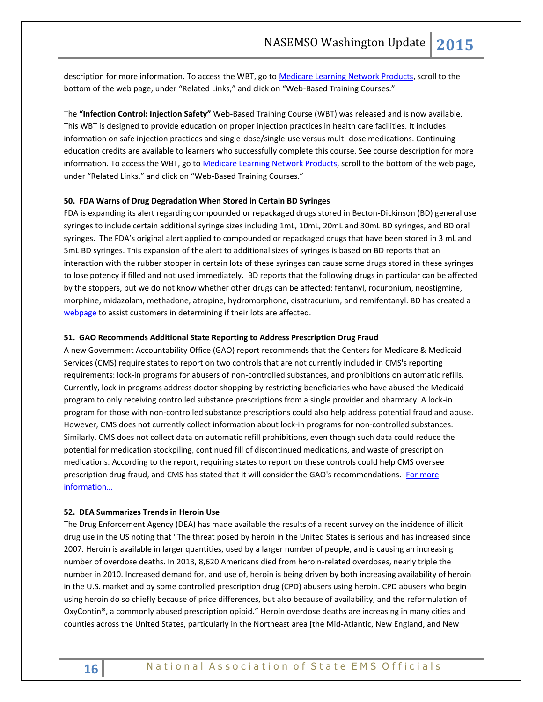description for more information. To access the WBT, go t[o Medicare Learning Network Products,](http://www.cms.gov/MLNProducts) scroll to the bottom of the web page, under "Related Links," and click on "Web-Based Training Courses."

The **"Infection Control: Injection Safety"** Web-Based Training Course (WBT) was released and is now available. This WBT is designed to provide education on proper injection practices in health care facilities. It includes information on safe injection practices and single-dose/single-use versus multi-dose medications. Continuing education credits are available to learners who successfully complete this course. See course description for more information. To access the WBT, go t[o Medicare Learning Network Products,](http://www.cms.gov/MLNProducts) scroll to the bottom of the web page, under "Related Links," and click on "Web-Based Training Courses."

## **50. FDA Warns of Drug Degradation When Stored in Certain BD Syringes**

FDA is expanding its alert regarding compounded or repackaged drugs stored in Becton-Dickinson (BD) general use syringes to include certain additional syringe sizes including 1mL, 10mL, 20mL and 30mL BD syringes, and BD oral syringes. The FDA's original alert applied to compounded or repackaged drugs that have been stored in 3 mL and 5mL BD syringes. This expansion of the alert to additional sizes of syringes is based on BD reports that an interaction with the rubber stopper in certain lots of these syringes can cause some drugs stored in these syringes to lose potency if filled and not used immediately. BD reports that the following drugs in particular can be affected by the stoppers, but we do not know whether other drugs can be affected: fentanyl, rocuronium, neostigmine, morphine, midazolam, methadone, atropine, hydromorphone, cisatracurium, and remifentanyl. BD has created a [webpage](http://www1.bd.com/alerts-notices/) to assist customers in determining if their lots are affected.

## **51. GAO Recommends Additional State Reporting to Address Prescription Drug Fraud**

A new Government Accountability Office (GAO) report recommends that the Centers for Medicare & Medicaid Services (CMS) require states to report on two controls that are not currently included in CMS's reporting requirements: lock-in programs for abusers of non-controlled substances, and prohibitions on automatic refills. Currently, lock-in programs address doctor shopping by restricting beneficiaries who have abused the Medicaid program to only receiving controlled substance prescriptions from a single provider and pharmacy. A lock-in program for those with non-controlled substance prescriptions could also help address potential fraud and abuse. However, CMS does not currently collect information about lock-in programs for non-controlled substances. Similarly, CMS does not collect data on automatic refill prohibitions, even though such data could reduce the potential for medication stockpiling, continued fill of discontinued medications, and waste of prescription medications. According to the report, requiring states to report on these controls could help CMS oversee prescription drug fraud, and CMS has stated that it will consider the GAO's recommendations. For more [information…](http://www.gao.gov/assets/680/671241.pdf)

## **52. DEA Summarizes Trends in Heroin Use**

The Drug Enforcement Agency (DEA) has made available the results of a recent survey on the incidence of illicit drug use in the US noting that "The threat posed by heroin in the United States is serious and has increased since 2007. Heroin is available in larger quantities, used by a larger number of people, and is causing an increasing number of overdose deaths. In 2013, 8,620 Americans died from heroin-related overdoses, nearly triple the number in 2010. Increased demand for, and use of, heroin is being driven by both increasing availability of heroin in the U.S. market and by some controlled prescription drug (CPD) abusers using heroin. CPD abusers who begin using heroin do so chiefly because of price differences, but also because of availability, and the reformulation of OxyContin®, a commonly abused prescription opioid." Heroin overdose deaths are increasing in many cities and counties across the United States, particularly in the Northeast area [the Mid-Atlantic, New England, and New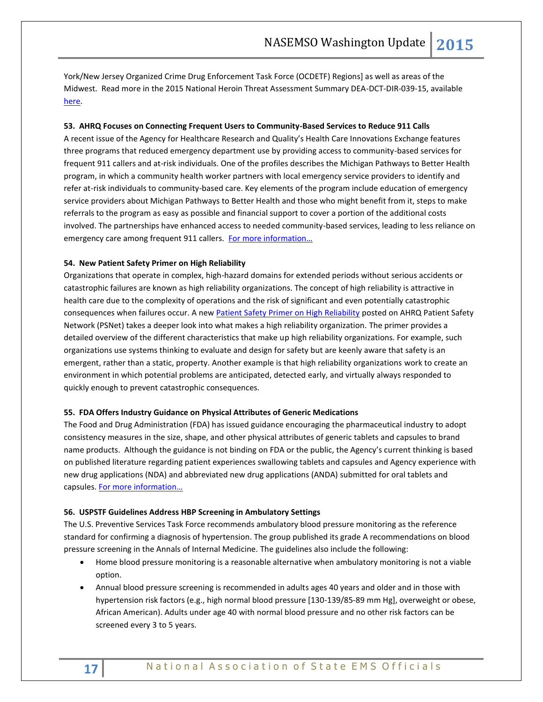York/New Jersey Organized Crime Drug Enforcement Task Force (OCDETF) Regions] as well as areas of the Midwest. Read more in the 2015 National Heroin Threat Assessment Summary DEA-DCT-DIR-039-15, available [here.](http://www.dea.gov/divisions/hq/2015/hq052215_National_Heroin_Threat_Assessment_Summary.pdf)

## **53. AHRQ Focuses on Connecting Frequent Users to Community-Based Services to Reduce 911 Calls**

A recent issue of the Agency for Healthcare Research and Quality's Health Care Innovations Exchange features three programs that reduced emergency department use by providing access to community-based services for frequent 911 callers and at-risk individuals. One of the profiles describes the Michigan Pathways to Better Health program, in which a community health worker partners with local emergency service providers to identify and refer at-risk individuals to community-based care. Key elements of the program include education of emergency service providers about Michigan Pathways to Better Health and those who might benefit from it, steps to make referrals to the program as easy as possible and financial support to cover a portion of the additional costs involved. The partnerships have enhanced access to needed community-based services, leading to less reliance on emergency care among frequent 911 callers. For more information...

## **54. New Patient Safety Primer on High Reliability**

Organizations that operate in complex, high-hazard domains for extended periods without serious accidents or catastrophic failures are known as high reliability organizations. The concept of high reliability is attractive in health care due to the complexity of operations and the risk of significant and even potentially catastrophic consequences when failures occur. A new [Patient Safety Primer on High Reliability](https://psnet.ahrq.gov/primers/primer/31) posted on AHRQ Patient Safety Network (PSNet) takes a deeper look into what makes a high reliability organization. The primer provides a detailed overview of the different characteristics that make up high reliability organizations. For example, such organizations use systems thinking to evaluate and design for safety but are keenly aware that safety is an emergent, rather than a static, property. Another example is that high reliability organizations work to create an environment in which potential problems are anticipated, detected early, and virtually always responded to quickly enough to prevent catastrophic consequences.

## **55. FDA Offers Industry Guidance on Physical Attributes of Generic Medications**

The Food and Drug Administration (FDA) has issued guidance encouraging the pharmaceutical industry to adopt consistency measures in the size, shape, and other physical attributes of generic tablets and capsules to brand name products. Although the guidance is not binding on FDA or the public, the Agency's current thinking is based on published literature regarding patient experiences swallowing tablets and capsules and Agency experience with new drug applications (NDA) and abbreviated new drug applications (ANDA) submitted for oral tablets and capsules. For more information...

## **56. USPSTF Guidelines Address HBP Screening in Ambulatory Settings**

The U.S. Preventive Services Task Force recommends ambulatory blood pressure monitoring as the reference standard for confirming a diagnosis of hypertension. The group published its grade A recommendations on blood pressure screening in the Annals of Internal Medicine. The guidelines also include the following:

- Home blood pressure monitoring is a reasonable alternative when ambulatory monitoring is not a viable option.
- Annual blood pressure screening is recommended in adults ages 40 years and older and in those with hypertension risk factors (e.g., high normal blood pressure [130-139/85-89 mm Hg], overweight or obese, African American). Adults under age 40 with normal blood pressure and no other risk factors can be screened every 3 to 5 years.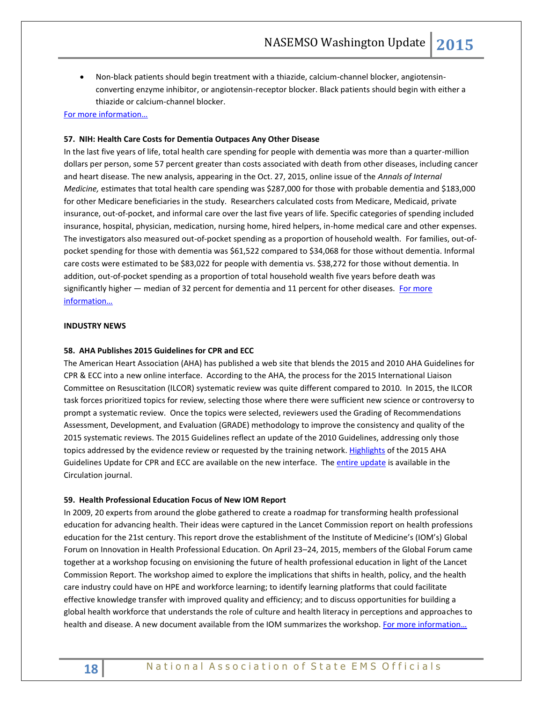Non-black patients should begin treatment with a thiazide, calcium-channel blocker, angiotensinconverting enzyme inhibitor, or angiotensin-receptor blocker. Black patients should begin with either a thiazide or calcium-channel blocker.

## [For more information…](http://annals.org/article.aspx?articleid=2456129)

## **57. NIH: Health Care Costs for Dementia Outpaces Any Other Disease**

In the last five years of life, total health care spending for people with dementia was more than a quarter-million dollars per person, some 57 percent greater than costs associated with death from other diseases, including cancer and heart disease. The new analysis, appearing in the Oct. 27, 2015, online issue of the *Annals of Internal Medicine,* estimates that total health care spending was \$287,000 for those with probable dementia and \$183,000 for other Medicare beneficiaries in the study. Researchers calculated costs from Medicare, Medicaid, private insurance, out-of-pocket, and informal care over the last five years of life. Specific categories of spending included insurance, hospital, physician, medication, nursing home, hired helpers, in-home medical care and other expenses. The investigators also measured out-of-pocket spending as a proportion of household wealth. For families, out-ofpocket spending for those with dementia was \$61,522 compared to \$34,068 for those without dementia. Informal care costs were estimated to be \$83,022 for people with dementia vs. \$38,272 for those without dementia. In addition, out-of-pocket spending as a proportion of total household wealth five years before death was significantly higher — median of 32 percent for dementia and 11 percent for other diseases. For more [information…](http://annals.org/article.aspx?articleid=2466364)

## <span id="page-17-0"></span>**INDUSTRY NEWS**

## **58. AHA Publishes 2015 Guidelines for CPR and ECC**

The American Heart Association (AHA) has published a web site that blends the 2015 and 2010 AHA Guidelines for CPR & ECC into a new online interface. According to the AHA, the process for the 2015 International Liaison Committee on Resuscitation (ILCOR) systematic review was quite different compared to 2010. In 2015, the ILCOR task forces prioritized topics for review, selecting those where there were sufficient new science or controversy to prompt a systematic review. Once the topics were selected, reviewers used the Grading of Recommendations Assessment, Development, and Evaluation (GRADE) methodology to improve the consistency and quality of the 2015 systematic reviews. The 2015 Guidelines reflect an update of the 2010 Guidelines, addressing only those topics addressed by the evidence review or requested by the training network. [Highlights](https://eccguidelines.heart.org/index.php/circulation/cpr-ecc-guidelines-2/) of the 2015 AHA Guidelines Update for CPR and ECC are available on the new interface. The [entire update](http://circ.ahajournals.org/content/132/18_suppl_2.toc) is available in the Circulation journal.

#### **59. Health Professional Education Focus of New IOM Report**

In 2009, 20 experts from around the globe gathered to create a roadmap for transforming health professional education for advancing health. Their ideas were captured in the Lancet Commission report on health professions education for the 21st century. This report drove the establishment of the Institute of Medicine's (IOM's) Global Forum on Innovation in Health Professional Education. On April 23–24, 2015, members of the Global Forum came together at a workshop focusing on envisioning the future of health professional education in light of the Lancet Commission Report. The workshop aimed to explore the implications that shifts in health, policy, and the health care industry could have on HPE and workforce learning; to identify learning platforms that could facilitate effective knowledge transfer with improved quality and efficiency; and to discuss opportunities for building a global health workforce that understands the role of culture and health literacy in perceptions and approaches to health and disease. A new document available from the IOM summarizes the workshop. For more information...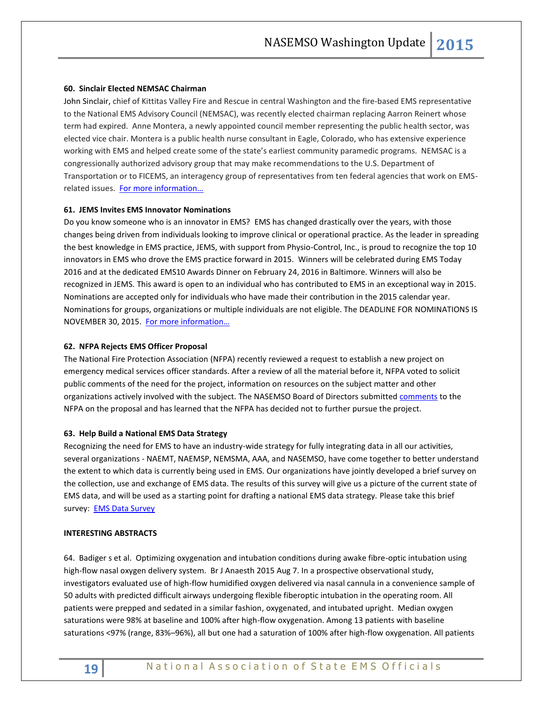## **60. Sinclair Elected NEMSAC Chairman**

John Sinclair, chief of Kittitas Valley Fire and Rescue in central Washington and the fire-based EMS representative to the National EMS Advisory Council (NEMSAC), was recently elected chairman replacing Aarron Reinert whose term had expired. Anne Montera, a newly appointed council member representing the public health sector, was elected vice chair. Montera is a public health nurse consultant in Eagle, Colorado, who has extensive experience working with EMS and helped create some of the state's earliest community paramedic programs. NEMSAC is a congressionally authorized advisory group that may make recommendations to the U.S. Department of Transportation or to FICEMS, an interagency group of representatives from ten federal agencies that work on EMSrelated issues. F[or more information…](http://www.ems.gov/NEMSAC.htm)

## **61. JEMS Invites EMS Innovator Nominations**

Do you know someone who is an innovator in EMS? EMS has changed drastically over the years, with those changes being driven from individuals looking to improve clinical or operational practice. As the leader in spreading the best knowledge in EMS practice, JEMS, with support from Physio-Control, Inc., is proud to recognize the top 10 innovators in EMS who drove the EMS practice forward in 2015. Winners will be celebrated during EMS Today 2016 and at the dedicated EMS10 Awards Dinner on February 24, 2016 in Baltimore. Winners will also be recognized in JEMS. This award is open to an individual who has contributed to EMS in an exceptional way in 2015. Nominations are accepted only for individuals who have made their contribution in the 2015 calendar year. Nominations for groups, organizations or multiple individuals are not eligible. The DEADLINE FOR NOMINATIONS IS NOVEMBER 30, 2015. [For more information…](http://www.jems.com/ems10.html?eid=316809822&bid=1193386#form)

## **62. NFPA Rejects EMS Officer Proposal**

The National Fire Protection Association (NFPA) recently reviewed a request to establish a new project on emergency medical services officer standards. After a review of all the material before it, NFPA voted to solicit public comments of the need for the project, information on resources on the subject matter and other organizations actively involved with the subject. The NASEMSO Board of Directors submitte[d comments](http://www.nasemso.org/Advocacy/Supported/index.asp) to the NFPA on the proposal and has learned that the NFPA has decided not to further pursue the project.

## **63. Help Build a National EMS Data Strategy**

Recognizing the need for EMS to have an industry-wide strategy for fully integrating data in all our activities, several organizations - NAEMT, NAEMSP, NEMSMA, AAA, and NASEMSO, have come together to better understand the extent to which data is currently being used in EMS. Our organizations have jointly developed a brief survey on the collection, use and exchange of EMS data. The results of this survey will give us a picture of the current state of EMS data, and will be used as a starting point for drafting a national EMS data strategy. Please take this brief survey: [EMS Data Survey](https://www.surveymonkey.com/r/EMSdataSurvey)

## <span id="page-18-0"></span>**INTERESTING ABSTRACTS**

64. Badiger s et al. Optimizing oxygenation and intubation conditions during awake fibre-optic intubation using high-flow nasal oxygen delivery system. Br J Anaesth 2015 Aug 7. In a prospective observational study, investigators evaluated use of high-flow humidified oxygen delivered via nasal cannula in a convenience sample of 50 adults with predicted difficult airways undergoing flexible fiberoptic intubation in the operating room. All patients were prepped and sedated in a similar fashion, oxygenated, and intubated upright. Median oxygen saturations were 98% at baseline and 100% after high-flow oxygenation. Among 13 patients with baseline saturations <97% (range, 83%–96%), all but one had a saturation of 100% after high-flow oxygenation. All patients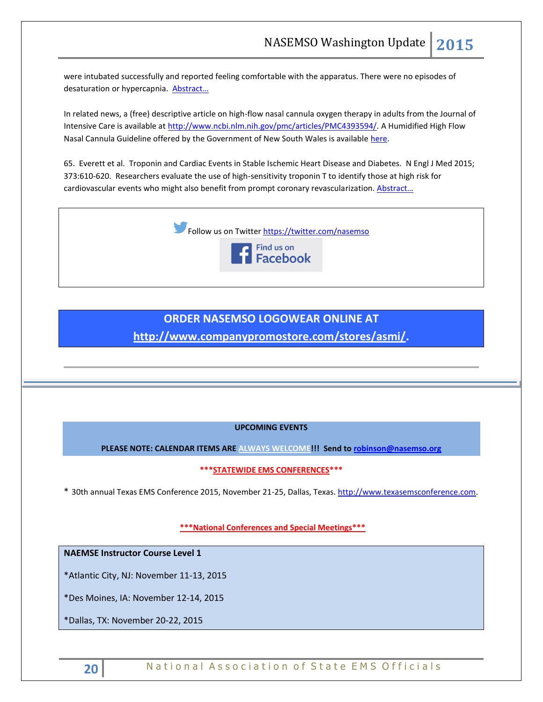were intubated successfully and reported feeling comfortable with the apparatus. There were no episodes of desaturation or hypercapnia. [Abstract…](http://bja.oxfordjournals.org/content/115/4/629.abstract)

In related news, a (free) descriptive article on high-flow nasal cannula oxygen therapy in adults from the Journal of Intensive Care is available at [http://www.ncbi.nlm.nih.gov/pmc/articles/PMC4393594/.](http://www.ncbi.nlm.nih.gov/pmc/articles/PMC4393594/) A Humidified High Flow Nasal Cannula Guideline offered by the Government of New South Wales is available [here.](http://www.ecinsw.com.au/sites/default/files/field/file/NSLHD%20Nasal%20Prong.pdf)

65. Everett et al. Troponin and Cardiac Events in Stable Ischemic Heart Disease and Diabetes. N Engl J Med 2015; 373:610-620. Researchers evaluate the use of high-sensitivity troponin T to identify those at high risk for cardiovascular events who might also benefit from prompt coronary revascularization. Abstract...



## **ORDER NASEMSO LOGOWEAR ONLINE AT**

**[http://www.companypromostore.com/stores/asmi/.](http://www.companypromostore.com/stores/asmi/)**

## **UPCOMING EVENTS**

**PLEASE NOTE: CALENDAR ITEMS ARE ALWAYS WELCOME!!! Send t[o robinson@nasemso.org](mailto:robinson@nasemso.org)**

**\*\*\*STATEWIDE EMS CONFERENCES\*\*\***

\* 30th annual Texas EMS Conference 2015, November 21-25, Dallas, Texas. [http://www.texasemsconference.com.](http://www.texasemsconference.com/)

**\*\*\*National Conferences and Special Meetings\*\*\***

**NAEMSE Instructor Course Level 1**

\*Atlantic City, NJ: November 11-13, 2015

\*Des Moines, IA: November 12-14, 2015

\*Dallas, TX: November 20-22, 2015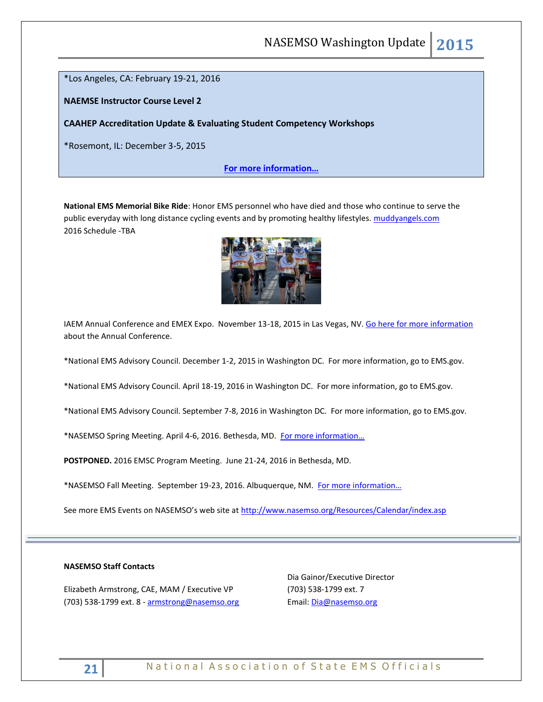\*Los Angeles, CA: February 19-21, 2016

**NAEMSE Instructor Course Level 2**

**CAAHEP Accreditation Update & Evaluating Student Competency Workshops**

\*Rosemont, IL: December 3-5, 2015

**[For more information…](http://www.naemse.org/instructor-course/)**

**National EMS Memorial Bike Ride**: Honor EMS personnel who have died and those who continue to serve the public everyday with long distance cycling events and by promoting healthy lifestyles. [muddyangels.com](http://www.muddyangels.com/) 2016 Schedule -TBA



IAEM Annual Conference and EMEX Expo. November 13-18, 2015 in Las Vegas, NV[. Go here for more information](http://cts.vresp.com/c/?IAEM/46d16c294a/3733acafb6/9897cf8fb8/p=events/annual-conference) about the Annual Conference.

\*National EMS Advisory Council. December 1-2, 2015 in Washington DC. For more information, go to EMS.gov.

\*National EMS Advisory Council. April 18-19, 2016 in Washington DC. For more information, go to EMS.gov.

\*National EMS Advisory Council. September 7-8, 2016 in Washington DC. For more information, go to EMS.gov.

\*NASEMSO Spring Meeting. April 4-6, 2016. Bethesda, MD. [For more information…](http://www.nasemso.org/Meetings/MidYear/index.asp)

**POSTPONED.** 2016 EMSC Program Meeting. June 21-24, 2016 in Bethesda, MD.

\*NASEMSO Fall Meeting. September 19-23, 2016. Albuquerque, NM. For more information...

See more EMS Events on NASEMSO's web site at <http://www.nasemso.org/Resources/Calendar/index.asp>

## **NASEMSO Staff Contacts**

Elizabeth Armstrong, CAE, MAM / Executive VP (703) 538-1799 ext. 8 - [armstrong@nasemso.org](mailto:armstrong@nasemso.org) Dia Gainor/Executive Director (703) 538-1799 ext. 7 Email: [Dia@nasemso.org](mailto:Dia@nasemso.org)